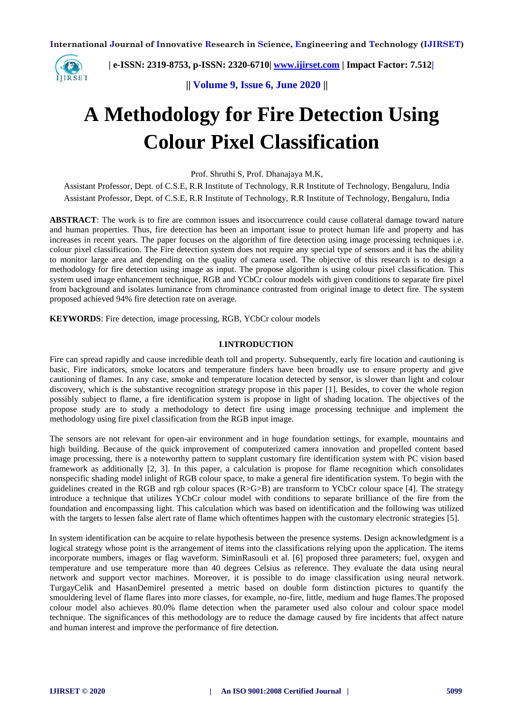

 **| e-ISSN: 2319-8753, p-ISSN: 2320-6710| [www.ijirset.com](http://www.ijirset.com/) | Impact Factor: 7.512|**

**|| Volume 9, Issue 6, June 2020 ||** 

# **A Methodology for Fire Detection Using Colour Pixel Classification**

Prof. Shruthi S, Prof. Dhanajaya M.K,

Assistant Professor, Dept. of C.S.E, R.R Institute of Technology, R.R Institute of Technology, Bengaluru, India Assistant Professor, Dept. of C.S.E, R.R Institute of Technology, R.R Institute of Technology, Bengaluru, India

**ABSTRACT**: The work is to fire are common issues and itsoccurrence could cause collateral damage toward nature and human properties. Thus, fire detection has been an important issue to protect human life and property and has increases in recent years. The paper focuses on the algorithm of fire detection using image processing techniques i.e. colour pixel classification. The Fire detection system does not require any special type of sensors and it has the ability to monitor large area and depending on the quality of camera used. The objective of this research is to design a methodology for fire detection using image as input. The propose algorithm is using colour pixel classification. This system used image enhancement technique, RGB and YCbCr colour models with given conditions to separate fire pixel from background and isolates luminance from chrominance contrasted from original image to detect fire. The system proposed achieved 94% fire detection rate on average.

**KEYWORDS**: Fire detection, image processing, RGB, YCbCr colour models

### **I**.**INTRODUCTION**

Fire can spread rapidly and cause incredible death toll and property. Subsequently, early fire location and cautioning is basic. Fire indicators, smoke locators and temperature finders have been broadly use to ensure property and give cautioning of flames. In any case, smoke and temperature location detected by sensor, is slower than light and colour discovery, which is the substantive recognition strategy propose in this paper [1]. Besides, to cover the whole region possibly subject to flame, a fire identification system is propose in light of shading location. The objectives of the propose study are to study a methodology to detect fire using image processing technique and implement the methodology using fire pixel classification from the RGB input image.

The sensors are not relevant for open-air environment and in huge foundation settings, for example, mountains and high building. Because of the quick improvement of computerized camera innovation and propelled content based image processing, there is a noteworthy pattern to supplant customary fire identification system with PC vision based framework as additionally [2, 3]. In this paper, a calculation is propose for flame recognition which consolidates nonspecific shading model inlight of RGB colour space, to make a general fire identification system. To begin with the guidelines created in the RGB and rgb colour spaces  $(R>G>B)$  are transform to YCbCr colour space [4]. The strategy introduce a technique that utilizes YCbCr colour model with conditions to separate brilliance of the fire from the foundation and encompassing light. This calculation which was based on identification and the following was utilized with the targets to lessen false alert rate of flame which oftentimes happen with the customary electronic strategies [5].

In system identification can be acquire to relate hypothesis between the presence systems. Design acknowledgment is a logical strategy whose point is the arrangement of items into the classifications relying upon the application. The items incorporate numbers, images or flag waveform. SiminRasouli et al. [6] proposed three parameters; fuel, oxygen and temperature and use temperature more than 40 degrees Celsius as reference. They evaluate the data using neural network and support vector machines. Moreover, it is possible to do image classification using neural network. TurgayCelik and HasanDemirel presented a metric based on double form distinction pictures to quantify the smouldering level of flame flares into more classes, for example, no-fire, little, medium and huge flames.The proposed colour model also achieves 80.0% flame detection when the parameter used also colour and colour space model technique. The significances of this methodology are to reduce the damage caused by fire incidents that affect nature and human interest and improve the performance of fire detection.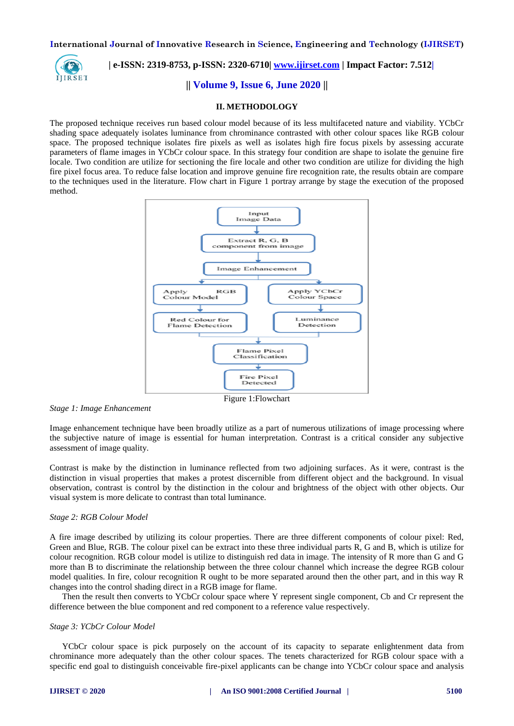

## **| e-ISSN: 2319-8753, p-ISSN: 2320-6710| [www.ijirset.com](http://www.ijirset.com/) | Impact Factor: 7.512|**

**|| Volume 9, Issue 6, June 2020 ||** 

### **II. METHODOLOGY**

The proposed technique receives run based colour model because of its less multifaceted nature and viability. YCbCr shading space adequately isolates luminance from chrominance contrasted with other colour spaces like RGB colour space. The proposed technique isolates fire pixels as well as isolates high fire focus pixels by assessing accurate parameters of flame images in YCbCr colour space. In this strategy four condition are shape to isolate the genuine fire locale. Two condition are utilize for sectioning the fire locale and other two condition are utilize for dividing the high fire pixel focus area. To reduce false location and improve genuine fire recognition rate, the results obtain are compare to the techniques used in the literature. Flow chart in Figure 1 portray arrange by stage the execution of the proposed method.



*Stage 1: Image Enhancement*

Image enhancement technique have been broadly utilize as a part of numerous utilizations of image processing where the subjective nature of image is essential for human interpretation. Contrast is a critical consider any subjective assessment of image quality.

Contrast is make by the distinction in luminance reflected from two adjoining surfaces. As it were, contrast is the distinction in visual properties that makes a protest discernible from different object and the background. In visual observation, contrast is control by the distinction in the colour and brightness of the object with other objects. Our visual system is more delicate to contrast than total luminance.

### *Stage 2: RGB Colour Model*

A fire image described by utilizing its colour properties. There are three different components of colour pixel: Red, Green and Blue, RGB. The colour pixel can be extract into these three individual parts R, G and B, which is utilize for colour recognition. RGB colour model is utilize to distinguish red data in image. The intensity of R more than G and G more than B to discriminate the relationship between the three colour channel which increase the degree RGB colour model qualities. In fire, colour recognition R ought to be more separated around then the other part, and in this way R changes into the control shading direct in a RGB image for flame.

Then the result then converts to YCbCr colour space where Y represent single component, Cb and Cr represent the difference between the blue component and red component to a reference value respectively.

### *Stage 3: YCbCr Colour Model*

YCbCr colour space is pick purposely on the account of its capacity to separate enlightenment data from chrominance more adequately than the other colour spaces. The tenets characterized for RGB colour space with a specific end goal to distinguish conceivable fire-pixel applicants can be change into YCbCr colour space and analysis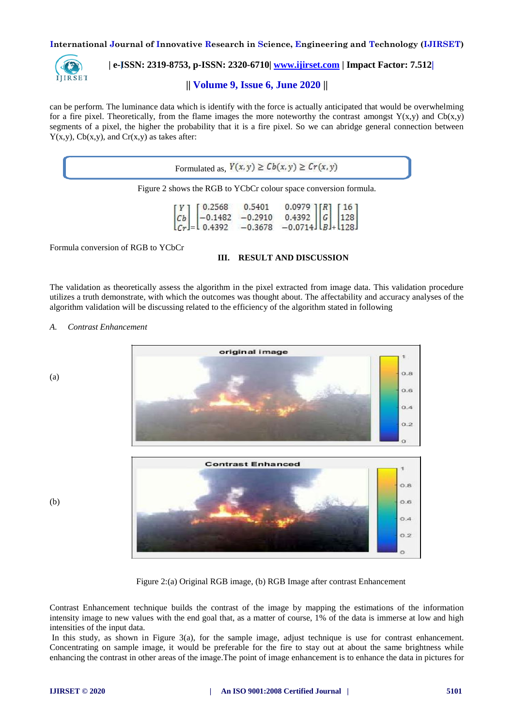

 **| e-ISSN: 2319-8753, p-ISSN: 2320-6710| [www.ijirset.com](http://www.ijirset.com/) | Impact Factor: 7.512|**

### **|| Volume 9, Issue 6, June 2020 ||**

can be perform. The luminance data which is identify with the force is actually anticipated that would be overwhelming for a fire pixel. Theoretically, from the flame images the more noteworthy the contrast amongst  $Y(x,y)$  and  $Cb(x,y)$ segments of a pixel, the higher the probability that it is a fire pixel. So we can abridge general connection between  $Y(x,y)$ ,  $Cb(x,y)$ , and  $Cr(x,y)$  as takes after:

| Figure 2 shows the RGB to YCbCr colour space conversion formula.                                                                                                                                                                                            |  |  |  |  |  |
|-------------------------------------------------------------------------------------------------------------------------------------------------------------------------------------------------------------------------------------------------------------|--|--|--|--|--|
| $\begin{bmatrix} Y \\ Cb \\ Cr \end{bmatrix} = \begin{bmatrix} 0.2568 & 0.5401 & 0.0979 \\ -0.1482 & -0.2910 & 0.4392 \\ 0.4392 & -0.3678 & -0.0714 \end{bmatrix} \begin{bmatrix} R \\ G \\ B \end{bmatrix} \begin{bmatrix} 16 \\ 128 \\ 128 \end{bmatrix}$ |  |  |  |  |  |

### **III. RESULT AND DISCUSSION**

The validation as theoretically assess the algorithm in the pixel extracted from image data. This validation procedure utilizes a truth demonstrate, with which the outcomes was thought about. The affectability and accuracy analyses of the algorithm validation will be discussing related to the efficiency of the algorithm stated in following

*A. Contrast Enhancement*



Figure 2:(a) Original RGB image, (b) RGB Image after contrast Enhancement

Contrast Enhancement technique builds the contrast of the image by mapping the estimations of the information intensity image to new values with the end goal that, as a matter of course, 1% of the data is immerse at low and high intensities of the input data.

In this study, as shown in Figure 3(a), for the sample image, adjust technique is use for contrast enhancement. Concentrating on sample image, it would be preferable for the fire to stay out at about the same brightness while enhancing the contrast in other areas of the image.The point of image enhancement is to enhance the data in pictures for

(b)

(a)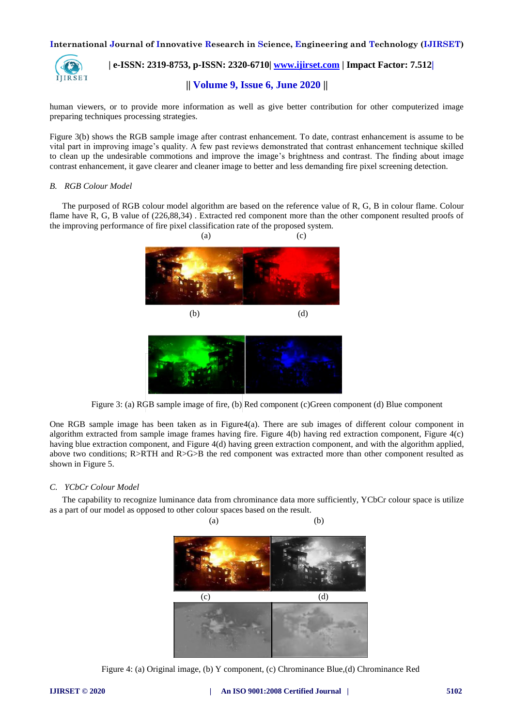

## **| e-ISSN: 2319-8753, p-ISSN: 2320-6710| [www.ijirset.com](http://www.ijirset.com/) | Impact Factor: 7.512|**

**|| Volume 9, Issue 6, June 2020 ||** 

human viewers, or to provide more information as well as give better contribution for other computerized image preparing techniques processing strategies.

Figure 3(b) shows the RGB sample image after contrast enhancement. To date, contrast enhancement is assume to be vital part in improving image's quality. A few past reviews demonstrated that contrast enhancement technique skilled to clean up the undesirable commotions and improve the image's brightness and contrast. The finding about image contrast enhancement, it gave clearer and cleaner image to better and less demanding fire pixel screening detection.

### *B. RGB Colour Model*

The purposed of RGB colour model algorithm are based on the reference value of R, G, B in colour flame. Colour flame have R, G, B value of (226,88,34) . Extracted red component more than the other component resulted proofs of the improving performance of fire pixel classification rate of the proposed system.



Figure 3: (a) RGB sample image of fire, (b) Red component (c)Green component (d) Blue component

One RGB sample image has been taken as in Figure4(a). There are sub images of different colour component in algorithm extracted from sample image frames having fire. Figure 4(b) having red extraction component, Figure 4(c) having blue extraction component, and Figure 4(d) having green extraction component, and with the algorithm applied, above two conditions; R>RTH and R>G>B the red component was extracted more than other component resulted as shown in Figure 5.

### *C. YCbCr Colour Model*

The capability to recognize luminance data from chrominance data more sufficiently, YCbCr colour space is utilize as a part of our model as opposed to other colour spaces based on the result.



Figure 4: (a) Original image, (b) Y component, (c) Chrominance Blue,(d) Chrominance Red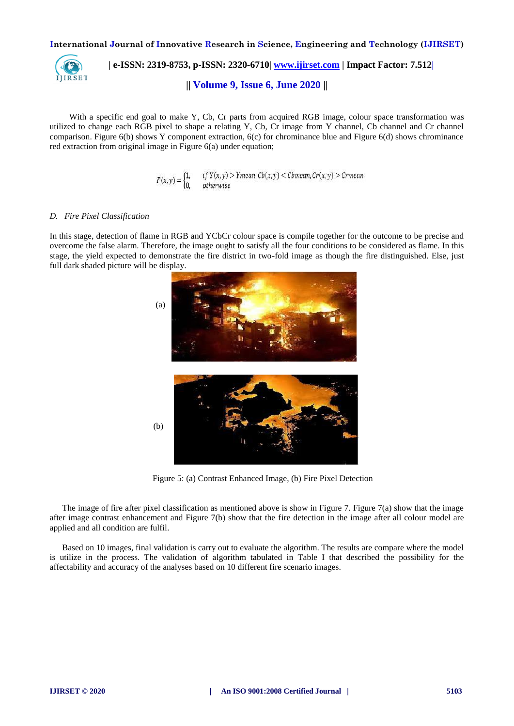

 **| e-ISSN: 2319-8753, p-ISSN: 2320-6710| [www.ijirset.com](http://www.ijirset.com/) | Impact Factor: 7.512| || Volume 9, Issue 6, June 2020 ||** 

With a specific end goal to make Y, Cb, Cr parts from acquired RGB image, colour space transformation was utilized to change each RGB pixel to shape a relating Y, Cb, Cr image from Y channel, Cb channel and Cr channel comparison. Figure 6(b) shows Y component extraction, 6(c) for chrominance blue and Figure 6(d) shows chrominance red extraction from original image in Figure 6(a) under equation;

$$
F(x,y) = \begin{cases} 1, & if Y(x,y) > Ymean, Cb(x,y) < Cbmean, Cr(x,y) > Crmean \\ 0, & otherwise \end{cases}
$$

### *D. Fire Pixel Classification*

In this stage, detection of flame in RGB and YCbCr colour space is compile together for the outcome to be precise and overcome the false alarm. Therefore, the image ought to satisfy all the four conditions to be considered as flame. In this stage, the yield expected to demonstrate the fire district in two-fold image as though the fire distinguished. Else, just full dark shaded picture will be display.



Figure 5: (a) Contrast Enhanced Image, (b) Fire Pixel Detection

The image of fire after pixel classification as mentioned above is show in Figure 7. Figure 7(a) show that the image after image contrast enhancement and Figure 7(b) show that the fire detection in the image after all colour model are applied and all condition are fulfil.

Based on 10 images, final validation is carry out to evaluate the algorithm. The results are compare where the model is utilize in the process. The validation of algorithm tabulated in Table I that described the possibility for the affectability and accuracy of the analyses based on 10 different fire scenario images.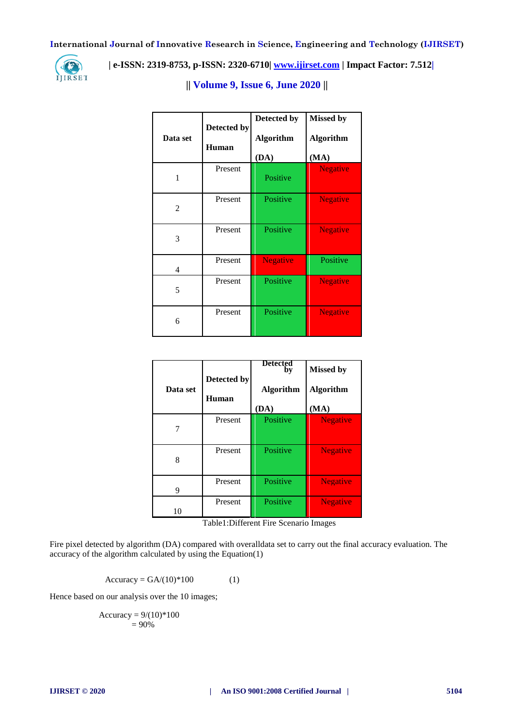

 **| e-ISSN: 2319-8753, p-ISSN: 2320-6710| [www.ijirset.com](http://www.ijirset.com/) | Impact Factor: 7.512|**

## **|| Volume 9, Issue 6, June 2020 ||**

| Data set       | Detected by<br>Human | Detected by<br><b>Algorithm</b><br>(DA) | <b>Missed by</b><br><b>Algorithm</b><br>(MA) |
|----------------|----------------------|-----------------------------------------|----------------------------------------------|
| 1              | Present              | Positive                                | <b>Negative</b>                              |
| $\overline{2}$ | Present              | Positive                                | <b>Negative</b>                              |
| 3              | Present              | Positive                                | <b>Negative</b>                              |
| 4              | Present              | <b>Negative</b>                         | Positive                                     |
| 5              | Present              | Positive                                | <b>Negative</b>                              |
| 6              | Present              | Positive                                | <b>Negative</b>                              |

| Data set | Detected by<br>Human | <b>Detected</b><br>by<br><b>Algorithm</b><br>(DA) | <b>Missed by</b><br><b>Algorithm</b><br>(MA) |
|----------|----------------------|---------------------------------------------------|----------------------------------------------|
|          | Present              | Positive                                          | <b>Negative</b>                              |
| 8        | Present              | Positive                                          | <b>Negative</b>                              |
| 9        | Present              | Positive                                          | <b>Negative</b>                              |
| 10       | Present              | Positive                                          | <b>Negative</b>                              |

Table1:Different Fire Scenario Images

Fire pixel detected by algorithm (DA) compared with overalldata set to carry out the final accuracy evaluation. The accuracy of the algorithm calculated by using the Equation(1)

Accuracy =  $GA/(10)^*100$  (1)

Hence based on our analysis over the 10 images;

$$
Accuracy = 9/(10)*100
$$
  
= 90%